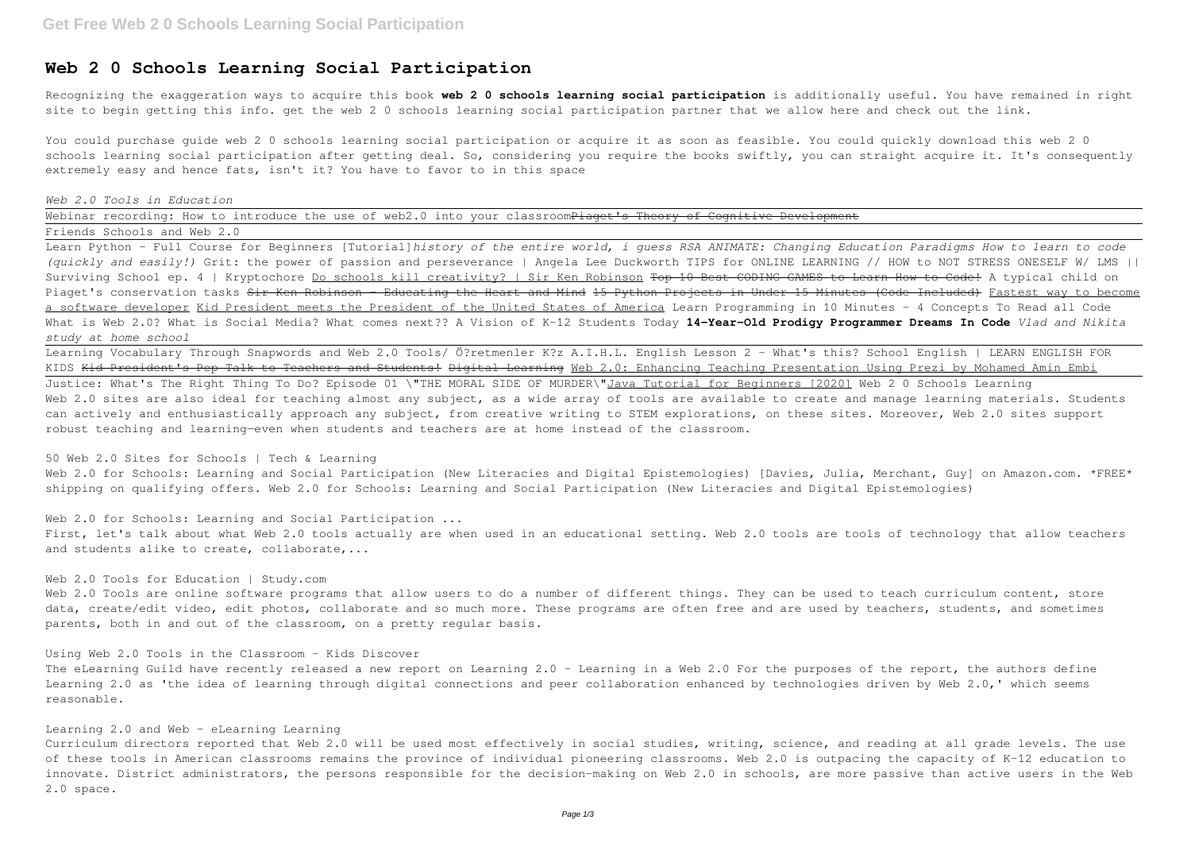# **Web 2 0 Schools Learning Social Participation**

Recognizing the exaggeration ways to acquire this book **web 2 0 schools learning social participation** is additionally useful. You have remained in right site to begin getting this info. get the web 2 0 schools learning social participation partner that we allow here and check out the link.

Webinar recording: How to introduce the use of web2.0 into your classroomPiaget's Theory of Cognitive Development Friends Schools and Web 2.0

You could purchase guide web 2 0 schools learning social participation or acquire it as soon as feasible. You could quickly download this web 2 0 schools learning social participation after getting deal. So, considering you require the books swiftly, you can straight acquire it. It's consequently extremely easy and hence fats, isn't it? You have to favor to in this space

### *Web 2.0 Tools in Education*

# 50 Web 2.0 Sites for Schools | Tech & Learning Web 2.0 for Schools: Learning and Social Participation (New Literacies and Digital Epistemologies) [Davies, Julia, Merchant, Guy] on Amazon.com. \*FREE\*

Learn Python - Full Course for Beginners [Tutorial]*history of the entire world, i guess RSA ANIMATE: Changing Education Paradigms How to learn to code (quickly and easily!)* Grit: the power of passion and perseverance | Angela Lee Duckworth TIPS for ONLINE LEARNING // HOW to NOT STRESS ONESELF W/ LMS || Surviving School ep. 4 | Kryptochore Do schools kill creativity? | Sir Ken Robinson Top 10 Best CODING GAMES to Learn How to Code! A typical child on Piaget's conservation tasks <del>Sir Ken Robinson - Educating the Heart and Mind 15 Python Projects in Under 15 Minutes (Code Included) Fastest way to become</del> a software developer Kid President meets the President of the United States of America Learn Programming in 10 Minutes - 4 Concepts To Read all Code What is Web 2.0? What is Social Media? What comes next?? A Vision of K-12 Students Today **14-Year-Old Prodigy Programmer Dreams In Code** *Vlad and Nikita study at home school*

Web 2.0 Tools are online software programs that allow users to do a number of different things. They can be used to teach curriculum content, store data, create/edit video, edit photos, collaborate and so much more. These programs are often free and are used by teachers, students, and sometimes parents, both in and out of the classroom, on a pretty regular basis.

The eLearning Guild have recently released a new report on Learning 2.0 - Learning in a Web 2.0 For the purposes of the report, the authors define Learning 2.0 as 'the idea of learning through digital connections and peer collaboration enhanced by technologies driven by Web 2.0,' which seems reasonable.

Learning Vocabulary Through Snapwords and Web 2.0 Tools/ Ö?retmenler K?z A.I.H.L. English Lesson 2 - What's this? School English | LEARN ENGLISH FOR KIDS <del>Kid President's Pep Talk to Teachers and Students! Digital Learning</del> Web 2.0: Enhancing Teaching Presentation Using Prezi by Mohamed Amin Embi Justice: What's The Right Thing To Do? Episode 01 \"THE MORAL SIDE OF MURDER\"Java Tutorial for Beginners [2020] Web 2 0 Schools Learning Web 2.0 sites are also ideal for teaching almost any subject, as a wide array of tools are available to create and manage learning materials. Students can actively and enthusiastically approach any subject, from creative writing to STEM explorations, on these sites. Moreover, Web 2.0 sites support robust teaching and learning—even when students and teachers are at home instead of the classroom.

shipping on qualifying offers. Web 2.0 for Schools: Learning and Social Participation (New Literacies and Digital Epistemologies)

### Web 2.0 for Schools: Learning and Social Participation ...

First, let's talk about what Web 2.0 tools actually are when used in an educational setting. Web 2.0 tools are tools of technology that allow teachers and students alike to create, collaborate,...

## Web 2.0 Tools for Education | Study.com

## Using Web 2.0 Tools in the Classroom - Kids Discover

## Learning 2.0 and Web - eLearning Learning

Curriculum directors reported that Web 2.0 will be used most effectively in social studies, writing, science, and reading at all grade levels. The use of these tools in American classrooms remains the province of individual pioneering classrooms. Web 2.0 is outpacing the capacity of K-12 education to innovate. District administrators, the persons responsible for the decision-making on Web 2.0 in schools, are more passive than active users in the Web 2.0 space.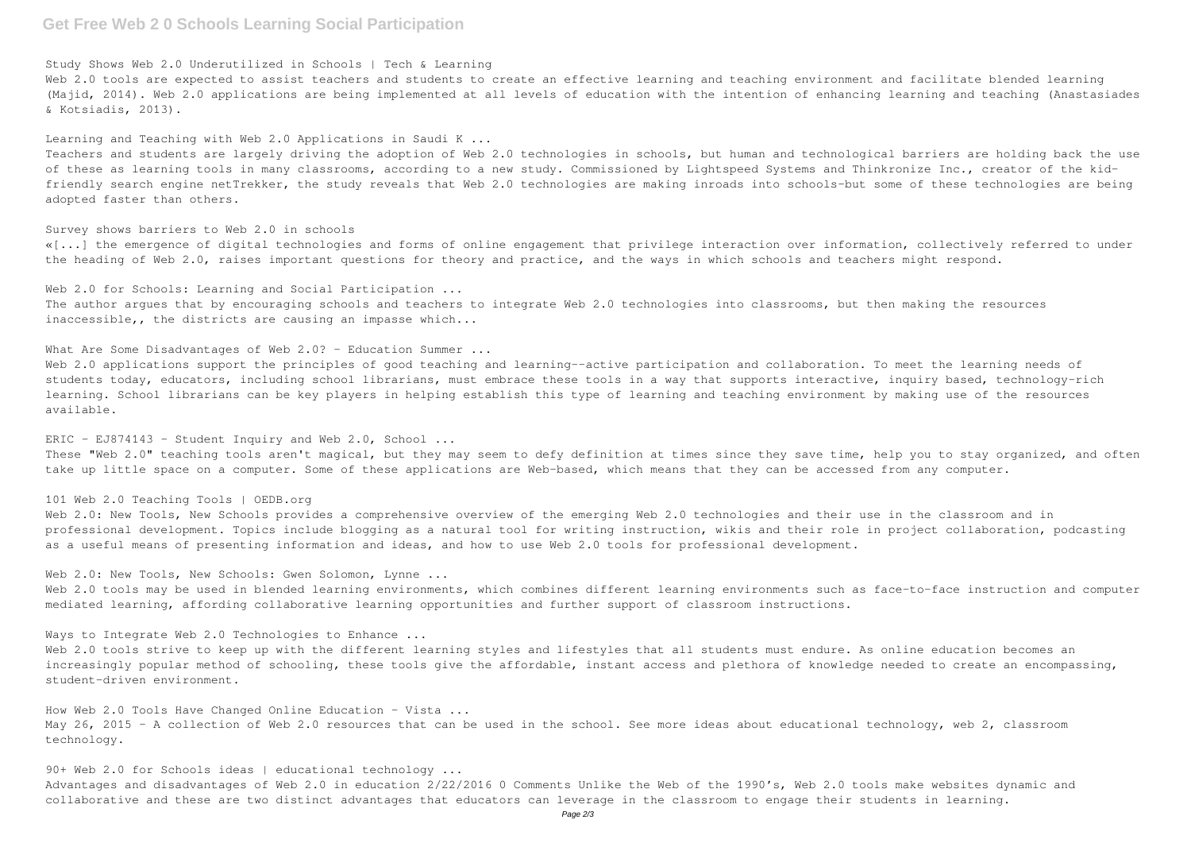# **Get Free Web 2 0 Schools Learning Social Participation**

Study Shows Web 2.0 Underutilized in Schools | Tech & Learning

Web 2.0 tools are expected to assist teachers and students to create an effective learning and teaching environment and facilitate blended learning (Majid, 2014). Web 2.0 applications are being implemented at all levels of education with the intention of enhancing learning and teaching (Anastasiades & Kotsiadis, 2013).

Learning and Teaching with Web 2.0 Applications in Saudi K  $\ldots$ 

Teachers and students are largely driving the adoption of Web 2.0 technologies in schools, but human and technological barriers are holding back the use of these as learning tools in many classrooms, according to a new study. Commissioned by Lightspeed Systems and Thinkronize Inc., creator of the kidfriendly search engine netTrekker, the study reveals that Web 2.0 technologies are making inroads into schools–but some of these technologies are being adopted faster than others.

The author argues that by encouraging schools and teachers to integrate Web 2.0 technologies into classrooms, but then making the resources inaccessible,, the districts are causing an impasse which...

What Are Some Disadvantages of Web 2.0? - Education Summer ...

## Survey shows barriers to Web 2.0 in schools

Web 2.0 applications support the principles of good teaching and learning--active participation and collaboration. To meet the learning needs of students today, educators, including school librarians, must embrace these tools in a way that supports interactive, inquiry based, technology-rich learning. School librarians can be key players in helping establish this type of learning and teaching environment by making use of the resources available.

«[...] the emergence of digital technologies and forms of online engagement that privilege interaction over information, collectively referred to under the heading of Web 2.0, raises important questions for theory and practice, and the ways in which schools and teachers might respond.

### Web 2.0 for Schools: Learning and Social Participation ...

These "Web 2.0" teaching tools aren't magical, but they may seem to defy definition at times since they save time, help you to stay organized, and often take up little space on a computer. Some of these applications are Web-based, which means that they can be accessed from any computer.

Web 2.0: New Tools, New Schools provides a comprehensive overview of the emerging Web 2.0 technologies and their use in the classroom and in professional development. Topics include blogging as a natural tool for writing instruction, wikis and their role in project collaboration, podcasting as a useful means of presenting information and ideas, and how to use Web 2.0 tools for professional development.

Web 2.0: New Tools, New Schools: Gwen Solomon, Lynne ...

Web 2.0 tools may be used in blended learning environments, which combines different learning environments such as face-to-face instruction and computer mediated learning, affording collaborative learning opportunities and further support of classroom instructions.

Web 2.0 tools strive to keep up with the different learning styles and lifestyles that all students must endure. As online education becomes an increasingly popular method of schooling, these tools give the affordable, instant access and plethora of knowledge needed to create an encompassing, student-driven environment.

How Web 2.0 Tools Have Changed Online Education - Vista ... May 26, 2015 - A collection of Web 2.0 resources that can be used in the school. See more ideas about educational technology, web 2, classroom technology.

90+ Web 2.0 for Schools ideas | educational technology ... Advantages and disadvantages of Web 2.0 in education 2/22/2016 0 Comments Unlike the Web of the 1990's, Web 2.0 tools make websites dynamic and collaborative and these are two distinct advantages that educators can leverage in the classroom to engage their students in learning.

## ERIC - EJ874143 - Student Inquiry and Web 2.0, School ...

## 101 Web 2.0 Teaching Tools | OEDB.org

Ways to Integrate Web 2.0 Technologies to Enhance ...